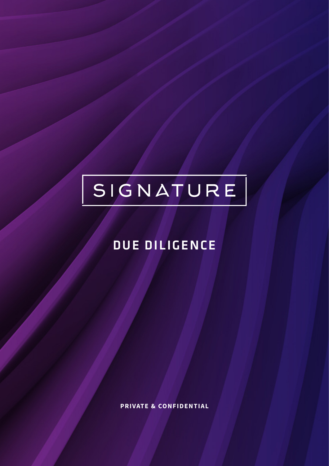# SIGNATURE

### DUE DILIGENCE

**PRIVATE & CONFIDENTIAL**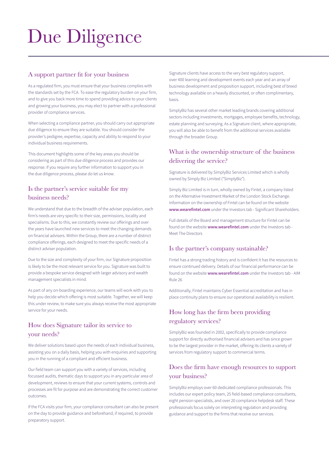## Due Diligence

#### A support partner fit for your business

As a regulated firm, you must ensure that your business complies with the standards set by the FCA. To ease the regulatory burden on your firm, and to give you back more time to spend providing advice to your clients and growing your business, you may elect to partner with a professional provider of compliance services.

When selecting a compliance partner, you should carry out appropriate due diligence to ensure they are suitable. You should consider the provider's pedigree, expertise, capacity and ability to respond to your individual business requirements.

This document highlights some of the key areas you should be considering as part of this due diligence process and provides our response. If you require any further information to support you in the due diligence process, please do let us know.

#### Is the partner's service suitable for my business needs?

We understand that due to the breadth of the adviser population, each firm's needs are very specific to their size, permissions, locality and specialisms. Due to this, we constantly review our offerings and over the years have launched new services to meet the changing demands on financial advisers. Within the Group, there are a number of distinct compliance offerings, each designed to meet the specific needs of a distinct adviser population.

Due to the size and complexity of your firm, our Signature proposition is likely to be the most relevant service for you. Signature was built to provide a bespoke service designed with larger advisory and wealth management specialists in mind.

As part of any on-boarding experience, our teams will work with you to help you decide which offering is most suitable. Together, we will keep this under review, to make sure you always receive the most appropriate service for your needs.

#### How does Signature tailor its service to your needs?

We deliver solutions based upon the needs of each individual business, assisting you on a daily basis, helping you with enquiries and supporting you in the running of a compliant and efficient business.

Our field team can support you with a variety of services, including focussed audits, thematic days to support you in any particular area of development, reviews to ensure that your current systems, controls and processes are fit for purpose and are demonstrating the correct customer outcomes.

If the FCA visits your firm, your compliance consultant can also be present on the day to provide guidance and beforehand, if required, to provide preparatory support.

Signature clients have access to the very best regulatory support, over 400 learning and development events each year and an array of business development and proposition support, including best of breed technology available on a heavily discounted, or often complimentary, basis.

SimplyBiz has several other market leading brands covering additional sectors including investments, mortgages, employee benefits, technology, estate planning and surveying. As a Signature client, where appropriate, you will also be able to benefit from the additional services available through the broader Group.

#### What is the ownership structure of the business delivering the service?

Signature is delivered by SimplyBiz Services Limited which is wholly owned by Simply Biz Limited ("SimplyBiz").

Simply Biz Limited is in turn, wholly owned by Fintel, a company listed on the Alternative Investment Market of the London Stock Exchange. Information on the ownership of Fintel can be found on the website www.wearefintel.com under the Investors tab - Significant Shareholders.

Full details of the Board and management structure for Fintel can be found on the website [www.w](http://www.wearefintel.com)earefintel.com under the Investors tab -Meet The Directors

#### Is the partner's company sustainable?

Fintel has a strong trading history and is confident it has the resources to ensure continued delivery. Details of our financial performance can be found on the website [www.wearefintel.com](http://www.wearefintel.com) under the Investors tab - AIM Rule 26

Additionally, Fintel maintains Cyber Essential accreditation and has in place continuity plans to ensure our operational availability is resilient.

#### How long has the firm been providing regulatory services?

SimplyBiz was founded in 2002, specifically to provide compliance support for directly authorised financial advisers and has since grown to be the largest provider in the market, offering its clients a variety of services from regulatory support to commercial terms.

#### Does the firm have enough resources to support your business?

SimplyBiz employs over 60 dedicated compliance professionals. This includes our expert policy team, 25 field-based compliance consultants, eight pension specialists, and over 20 compliance helpdesk staff. These professionals focus solely on interpreting regulation and providing guidance and support to the firms that receive our services.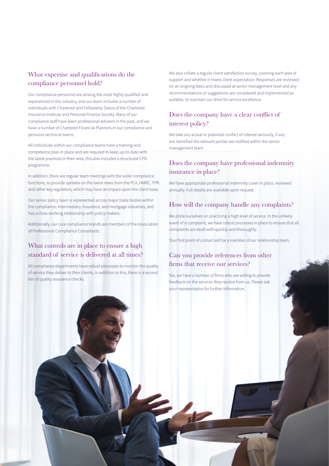#### What expertise and qualifications do the compliance personnel hold?

Our compliance personnel are among the most highly qualified and experienced in the industry, and our team includes a number of individuals with Chartered and Fellowship Status of the Chartered Insurance Institute and Personal Finance Society. Many of our compliance staff have been professional advisers in the past, and we have a number of Chartered Financial Planners in our compliance and pensions technical teams.

All individuals within our compliance teams have a training and competence plan in place and are required to keep up-to-date with the latest practices in their area, this also includes a structured CPD programme.

In addition, there are regular team meetings with the wider compliance functions, to provide updates on the latest news from the FCA, HMRC, TPR and other key regulators, which may have an impact upon the client base.

Our senior policy team is represented across major trade bodies within the compliance, intermediary, insurance, and mortgage industries, and has a close working relationship with policy makers.

Additionally, our core compliance brands are members of the Association of Professional Compliance Consultants.

#### What controls are in place to ensure a high standard of service is delivered at all times?

All compliance departments have robust processes to monitor the quality of service they deliver to their clients, in addition to this, there is a second tier of quality assurance checks.

We also collate a regular client satisfaction survey, covering each area of support and whether it meets client expectation. Responses are reviewed on an ongoing basis and discussed at senior management level and any recommendations or suggestions are considered and implemented as suitable, to maintain our drive for service excellence.

#### Does the company have a clear conflict of interest policy?

We take any actual or potential conflict of interest seriously, if any are identified the relevant parties are notified within the senior management team.

#### Does the company have professional indemnity insurance in place?

We have appropriate professional indemnity cover in place, reviewed annually. Full details are available upon request.

#### How will the company handle any complaints?

We pride ourselves on practicing a high level of service. In the unlikely event of a complaint, we have robust processes in place to ensure that all complaints are dealt with quickly and thoroughly.

Your first point of contact will be a member of our relationship team.

#### Can you provide references from other firms that receive our services?

Yes, we have a number of firms who are willing to provide feedback on the services they receive from us. Please ask your representative for further information.